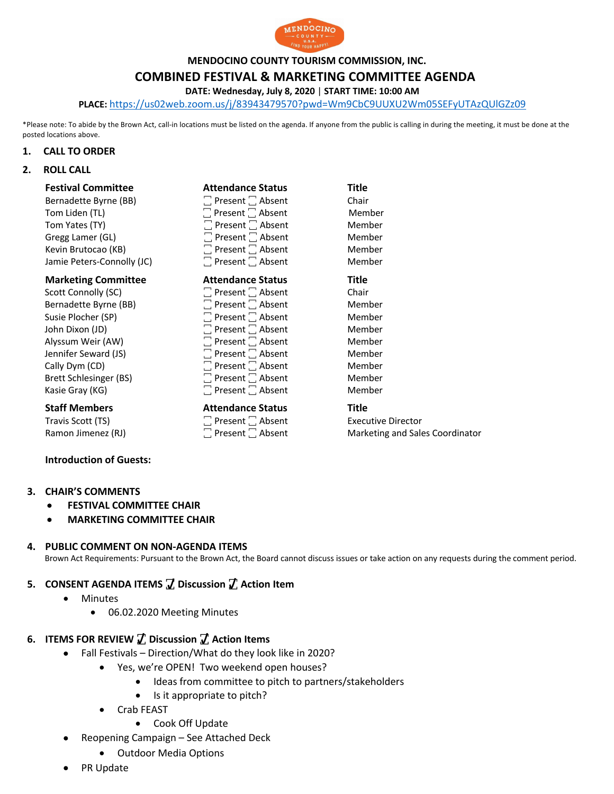

**MENDOCINO COUNTY TOURISM COMMISSION, INC.**

# **COMBINED FESTIVAL & MARKETING COMMITTEE AGENDA**

**DATE: Wednesday, July 8, 2020** | **START TIME: 10:00 AM**

**PLACE:** https://us02web.zoom.us/j/83943479570?pwd=Wm9CbC9UUXU2Wm05SEFyUTAzQUlGZz09

\*Please note: To abide by the Brown Act, call-in locations must be listed on the agenda. If anyone from the public is calling in during the meeting, it must be done at the posted locations above.

#### **1. CALL TO ORDER**

### **2. ROLL CALL**

| <b>Festival Committee</b>  | <b>Attendance Status</b>     | <b>Title</b> |
|----------------------------|------------------------------|--------------|
| Bernadette Byrne (BB)      | $\Box$ Present $\Box$ Absent | Chair        |
| Tom Liden (TL)             | $\Box$ Present $\Box$ Absent | Member       |
| Tom Yates (TY)             | $\Box$ Present $\Box$ Absent | Member       |
| Gregg Lamer (GL)           | $\Box$ Present $\Box$ Absent | Member       |
| Kevin Brutocao (KB)        | $\Box$ Present $\Box$ Absent | Member       |
| Jamie Peters-Connolly (JC) | $\Box$ Present $\Box$ Absent | Member       |
| <b>Marketing Committee</b> | <b>Attendance Status</b>     | <b>Title</b> |
| Scott Connolly (SC)        | $\Box$ Present $\Box$ Absent | Chair        |
| Bernadette Byrne (BB)      | $\Box$ Present $\Box$ Absent | Member       |
| Susie Plocher (SP)         | $\Box$ Present $\Box$ Absent | Member       |
| John Dixon (JD)            | $\Box$ Present $\Box$ Absent | Member       |
| Alyssum Weir (AW)          | $\Box$ Present $\Box$ Absent | Member       |
| Jennifer Seward (JS)       | $\Box$ Present $\Box$ Absent | Member       |
| Cally Dym (CD)             | $\Box$ Present $\Box$ Absent | Member       |
| Brett Schlesinger (BS)     | $\Box$ Present $\Box$ Absent | Member       |
| Kasie Gray (KG)            | $\Box$ Present $\Box$ Absent | Member       |

#### **Staff Members Attendance Status** Title

Travis Scott (TS)  $\Box$  Present  $\Box$  Absent  $\Box$  Absent Executive Director Ramon Jimenez (RJ)  $\Box$  Present  $\Box$  Absent Marketing and Sale

### **Introduction of Guests:**

#### **3. CHAIR'S COMMENTS**

- **FESTIVAL COMMITTEE CHAIR**
- **MARKETING COMMITTEE CHAIR**

#### **4. PUBLIC COMMENT ON NON-AGENDA ITEMS**

Brown Act Requirements: Pursuant to the Brown Act, the Board cannot discuss issues or take action on any requests during the comment period.

## **5. CONSENT AGENDA ITEMS ꙱ Discussion ꙱ Action Item**

- Minutes
	- 06.02.2020 Meeting Minutes

### **6. ITEMS FOR REVIEW ꙱ Discussion ꙱ Action Items**

- Fall Festivals Direction/What do they look like in 2020?
	- Yes, we're OPEN! Two weekend open houses?
		- Ideas from committee to pitch to partners/stakeholders
		- Is it appropriate to pitch?
	- Crab FEAST
		- Cook Off Update
- Reopening Campaign See Attached Deck
	- Outdoor Media Options
- PR Update

| Member |
|--------|
| Member |
| Member |
| Member |
| Member |
| Title  |
| Chair  |
| Member |
| Member |
| Member |
| Member |
| Member |
| Member |
| Member |
| Member |
|        |

Ramon Jimenez (RJ) **The State Cooperation** Present  $\Box$  Absent Marketing and Sales Coordinator